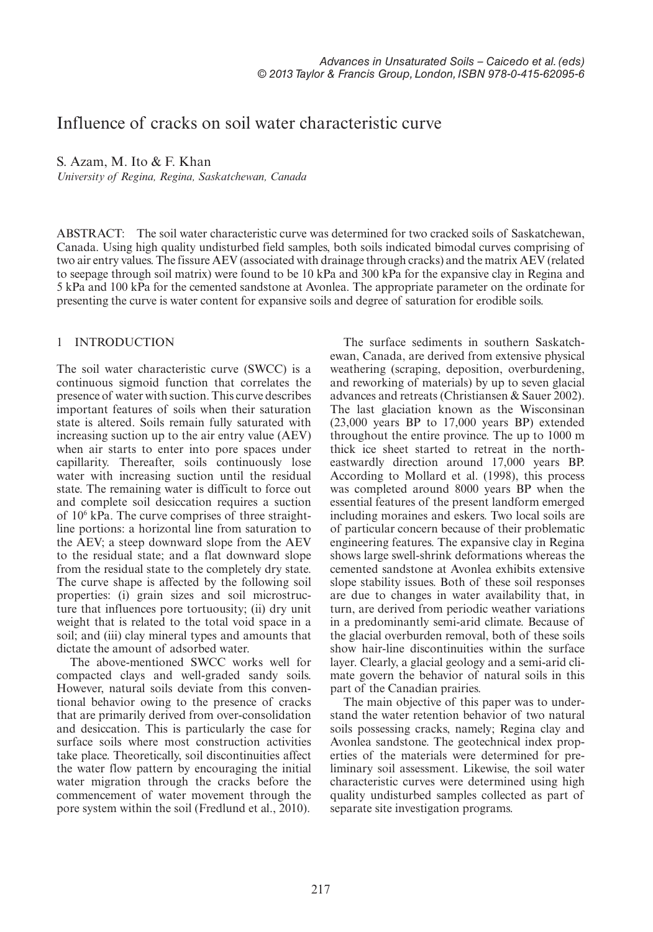# Influence of cracks on soil water characteristic curve

## S. Azam, M. Ito & F. Khan

*University of Regina, Regina, Saskatchewan, Canada*

ABSTRACT: The soil water characteristic curve was determined for two cracked soils of Saskatchewan, Canada. Using high quality undisturbed field samples, both soils indicated bimodal curves comprising of two air entry values. The fissure AEV (associated with drainage through cracks) and the matrix AEV (related to seepage through soil matrix) were found to be 10 kPa and 300 kPa for the expansive clay in Regina and 5 kPa and 100 kPa for the cemented sandstone at Avonlea. The appropriate parameter on the ordinate for presenting the curve is water content for expansive soils and degree of saturation for erodible soils.

## 1 INTRODUCTION

The soil water characteristic curve (SWCC) is a continuous sigmoid function that correlates the presence of water with suction. This curve describes important features of soils when their saturation state is altered. Soils remain fully saturated with increasing suction up to the air entry value (AEV) when air starts to enter into pore spaces under capillarity. Thereafter, soils continuously lose water with increasing suction until the residual state. The remaining water is difficult to force out and complete soil desiccation requires a suction of 106 kPa. The curve comprises of three straightline portions: a horizontal line from saturation to the AEV; a steep downward slope from the AEV to the residual state; and a flat downward slope from the residual state to the completely dry state. The curve shape is affected by the following soil properties: (i) grain sizes and soil microstructure that influences pore tortuousity; (ii) dry unit weight that is related to the total void space in a soil; and (iii) clay mineral types and amounts that dictate the amount of adsorbed water.

The above-mentioned SWCC works well for compacted clays and well-graded sandy soils. However, natural soils deviate from this conventional behavior owing to the presence of cracks that are primarily derived from over-consolidation and desiccation. This is particularly the case for surface soils where most construction activities take place. Theoretically, soil discontinuities affect the water flow pattern by encouraging the initial water migration through the cracks before the commencement of water movement through the pore system within the soil (Fredlund et al., 2010).

The surface sediments in southern Saskatchewan, Canada, are derived from extensive physical weathering (scraping, deposition, overburdening, and reworking of materials) by up to seven glacial advances and retreats (Christiansen & Sauer 2002). The last glaciation known as the Wisconsinan (23,000 years BP to 17,000 years BP) extended throughout the entire province. The up to 1000 m thick ice sheet started to retreat in the northeastwardly direction around 17,000 years BP. According to Mollard et al. (1998), this process was completed around 8000 years BP when the essential features of the present landform emerged including moraines and eskers. Two local soils are of particular concern because of their problematic engineering features. The expansive clay in Regina shows large swell-shrink deformations whereas the cemented sandstone at Avonlea exhibits extensive slope stability issues. Both of these soil responses are due to changes in water availability that, in turn, are derived from periodic weather variations in a predominantly semi-arid climate. Because of the glacial overburden removal, both of these soils show hair-line discontinuities within the surface layer. Clearly, a glacial geology and a semi-arid climate govern the behavior of natural soils in this part of the Canadian prairies.

The main objective of this paper was to understand the water retention behavior of two natural soils possessing cracks, namely; Regina clay and Avonlea sandstone. The geotechnical index properties of the materials were determined for preliminary soil assessment. Likewise, the soil water characteristic curves were determined using high quality undisturbed samples collected as part of separate site investigation programs.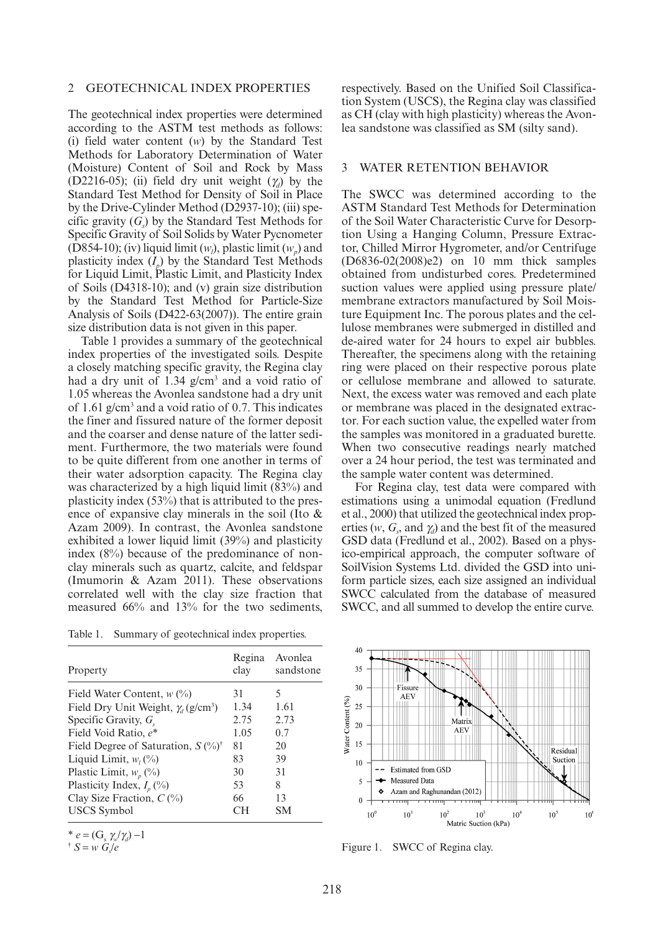## 2 GEOTECHNICAL INDEX PROPERTIES

The geotechnical index properties were determined according to the ASTM test methods as follows: (i) field water content (*w*) by the Standard Test Methods for Laboratory Determination of Water (Moisture) Content of Soil and Rock by Mass (D2216-05); (ii) field dry unit weight  $(\gamma_d)$  by the Standard Test Method for Density of Soil in Place by the Drive-Cylinder Method (D2937-10); (iii) specific gravity  $(G_s)$  by the Standard Test Methods for Specific Gravity of Soil Solids by Water Pycnometer (D854-10); (iv) liquid limit  $(w_l)$ , plastic limit  $(w_p)$  and plasticity index  $(I_n)$  by the Standard Test Methods for Liquid Limit, Plastic Limit, and Plasticity Index of Soils (D4318-10); and (v) grain size distribution by the Standard Test Method for Particle-Size Analysis of Soils (D422-63(2007)). The entire grain size distribution data is not given in this paper.

Table 1 provides a summary of the geotechnical index properties of the investigated soils. Despite a closely matching specific gravity, the Regina clay had a dry unit of  $1.34$  g/cm<sup>3</sup> and a void ratio of 1.05 whereas the Avonlea sandstone had a dry unit of 1.61  $g/cm<sup>3</sup>$  and a void ratio of 0.7. This indicates the finer and fissured nature of the former deposit and the coarser and dense nature of the latter sediment. Furthermore, the two materials were found to be quite different from one another in terms of their water adsorption capacity. The Regina clay was characterized by a high liquid limit (83%) and plasticity index (53%) that is attributed to the presence of expansive clay minerals in the soil (Ito & Azam 2009). In contrast, the Avonlea sandstone exhibited a lower liquid limit (39%) and plasticity index (8%) because of the predominance of nonclay minerals such as quartz, calcite, and feldspar (Imumorin & Azam 2011). These observations correlated well with the clay size fraction that measured 66% and 13% for the two sediments,

Table 1. Summary of geotechnical index properties.

| Property                                             | Regina<br>clay | Avonlea<br>sandstone |
|------------------------------------------------------|----------------|----------------------|
| Field Water Content, $w(\%)$                         | 31             | 5                    |
| Field Dry Unit Weight, $\gamma$ (g/cm <sup>3</sup> ) | 1.34           | 1.61                 |
| Specific Gravity, $Gc$                               | 2.75           | 2.73                 |
| Field Void Ratio, e*                                 | 1.05           | 0.7                  |
| Field Degree of Saturation, $S(\%)^{\dagger}$        | 81             | 20                   |
| Liquid Limit, $w_i$ (%)                              | 83             | 39                   |
| Plastic Limit, $w_p$ (%)                             | 30             | 31                   |
| Plasticity Index, $I_p$ (%)                          | 53             | 8                    |
| Clay Size Fraction, $C(\%)$                          | 66             | 13                   |
| <b>USCS</b> Symbol                                   | CH             | SМ                   |

 $e = (G_2 \gamma / \gamma / 2) - 1$ 

$$
^{\dagger} S = w \ G / e
$$

respectively. Based on the Unified Soil Classification System (USCS), the Regina clay was classified as CH (clay with high plasticity) whereas the Avonlea sandstone was classified as SM (silty sand).

#### 3 WATER RETENTION BEHAVIOR

The SWCC was determined according to the ASTM Standard Test Methods for Determination of the Soil Water Characteristic Curve for Desorption Using a Hanging Column, Pressure Extractor, Chilled Mirror Hygrometer, and/or Centrifuge (D6836-02(2008)e2) on 10 mm thick samples obtained from undisturbed cores. Predetermined suction values were applied using pressure plate/ membrane extractors manufactured by Soil Moisture Equipment Inc. The porous plates and the cellulose membranes were submerged in distilled and de-aired water for 24 hours to expel air bubbles. Thereafter, the specimens along with the retaining ring were placed on their respective porous plate or cellulose membrane and allowed to saturate. Next, the excess water was removed and each plate or membrane was placed in the designated extractor. For each suction value, the expelled water from the samples was monitored in a graduated burette. When two consecutive readings nearly matched over a 24 hour period, the test was terminated and the sample water content was determined.

For Regina clay, test data were compared with estimations using a unimodal equation (Fredlund et al., 2000) that utilized the geotechnical index properties (*w*,  $G_s$ , and  $\gamma_d$ ) and the best fit of the measured GSD data (Fredlund et al., 2002). Based on a physico-empirical approach, the computer software of SoilVision Systems Ltd. divided the GSD into uniform particle sizes, each size assigned an individual SWCC calculated from the database of measured SWCC, and all summed to develop the entire curve.



*Figure 1.* SWCC of Regina clay.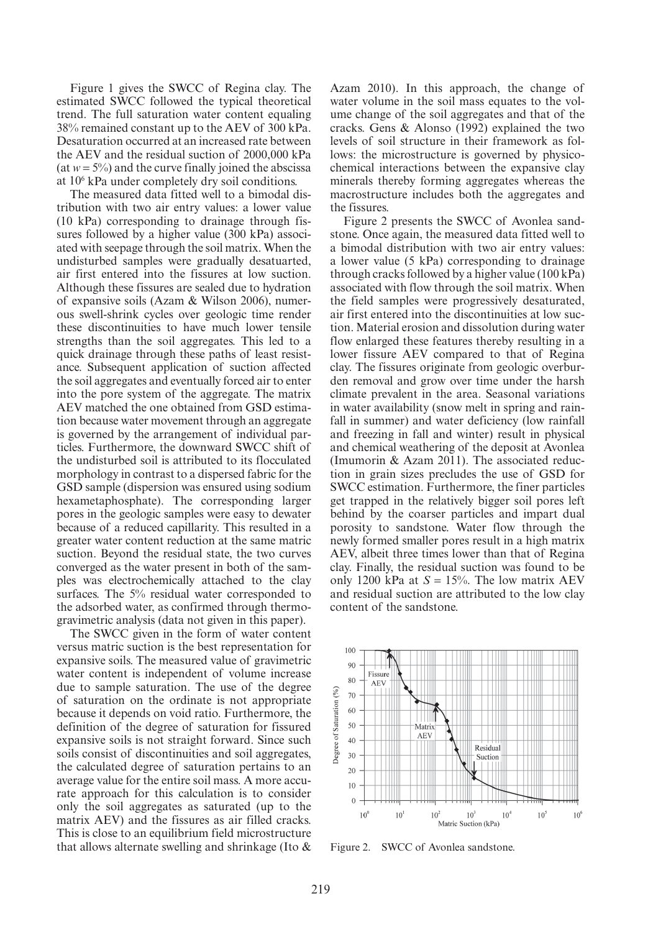Figure 1 gives the SWCC of Regina clay. The estimated SWCC followed the typical theoretical trend. The full saturation water content equaling 38% remained constant up to the AEV of 300 kPa. Desaturation occurred at an increased rate between the AEV and the residual suction of 2000,000 kPa (at  $w = 5\%$ ) and the curve finally joined the abscissa at 106 kPa under completely dry soil conditions.

The measured data fitted well to a bimodal distribution with two air entry values: a lower value (10 kPa) corresponding to drainage through fissures followed by a higher value (300 kPa) associated with seepage through the soil matrix. When the undisturbed samples were gradually desatuarted, air first entered into the fissures at low suction. Although these fissures are sealed due to hydration of expansive soils (Azam & Wilson 2006), numerous swell-shrink cycles over geologic time render these discontinuities to have much lower tensile strengths than the soil aggregates. This led to a quick drainage through these paths of least resistance. Subsequent application of suction affected the soil aggregates and eventually forced air to enter into the pore system of the aggregate. The matrix AEV matched the one obtained from GSD estimation because water movement through an aggregate is governed by the arrangement of individual particles. Furthermore, the downward SWCC shift of the undisturbed soil is attributed to its flocculated morphology in contrast to a dispersed fabric for the GSD sample (dispersion was ensured using sodium hexametaphosphate). The corresponding larger pores in the geologic samples were easy to dewater because of a reduced capillarity. This resulted in a greater water content reduction at the same matric suction. Beyond the residual state, the two curves converged as the water present in both of the samples was electrochemically attached to the clay surfaces. The 5% residual water corresponded to the adsorbed water, as confirmed through thermogravimetric analysis (data not given in this paper).

The SWCC given in the form of water content versus matric suction is the best representation for expansive soils. The measured value of gravimetric water content is independent of volume increase due to sample saturation. The use of the degree of saturation on the ordinate is not appropriate because it depends on void ratio. Furthermore, the definition of the degree of saturation for fissured expansive soils is not straight forward. Since such soils consist of discontinuities and soil aggregates, the calculated degree of saturation pertains to an average value for the entire soil mass. A more accurate approach for this calculation is to consider only the soil aggregates as saturated (up to the matrix AEV) and the fissures as air filled cracks. This is close to an equilibrium field microstructure that allows alternate swelling and shrinkage (Ito & Azam 2010). In this approach, the change of water volume in the soil mass equates to the volume change of the soil aggregates and that of the cracks. Gens & Alonso (1992) explained the two levels of soil structure in their framework as follows: the microstructure is governed by physicochemical interactions between the expansive clay minerals thereby forming aggregates whereas the macrostructure includes both the aggregates and the fissures.

Figure 2 presents the SWCC of Avonlea sandstone. Once again, the measured data fitted well to a bimodal distribution with two air entry values: a lower value (5 kPa) corresponding to drainage through cracks followed by a higher value (100 kPa) associated with flow through the soil matrix. When the field samples were progressively desaturated, air first entered into the discontinuities at low suction. Material erosion and dissolution during water flow enlarged these features thereby resulting in a lower fissure AEV compared to that of Regina clay. The fissures originate from geologic overburden removal and grow over time under the harsh climate prevalent in the area. Seasonal variations in water availability (snow melt in spring and rainfall in summer) and water deficiency (low rainfall and freezing in fall and winter) result in physical and chemical weathering of the deposit at Avonlea (Imumorin & Azam 2011). The associated reduction in grain sizes precludes the use of GSD for SWCC estimation. Furthermore, the finer particles get trapped in the relatively bigger soil pores left behind by the coarser particles and impart dual porosity to sandstone. Water flow through the newly formed smaller pores result in a high matrix AEV, albeit three times lower than that of Regina clay. Finally, the residual suction was found to be only 1200 kPa at  $S = 15\%$ . The low matrix AEV and residual suction are attributed to the low clay content of the sandstone.



Figure 2. SWCC of Avonlea sandstone.